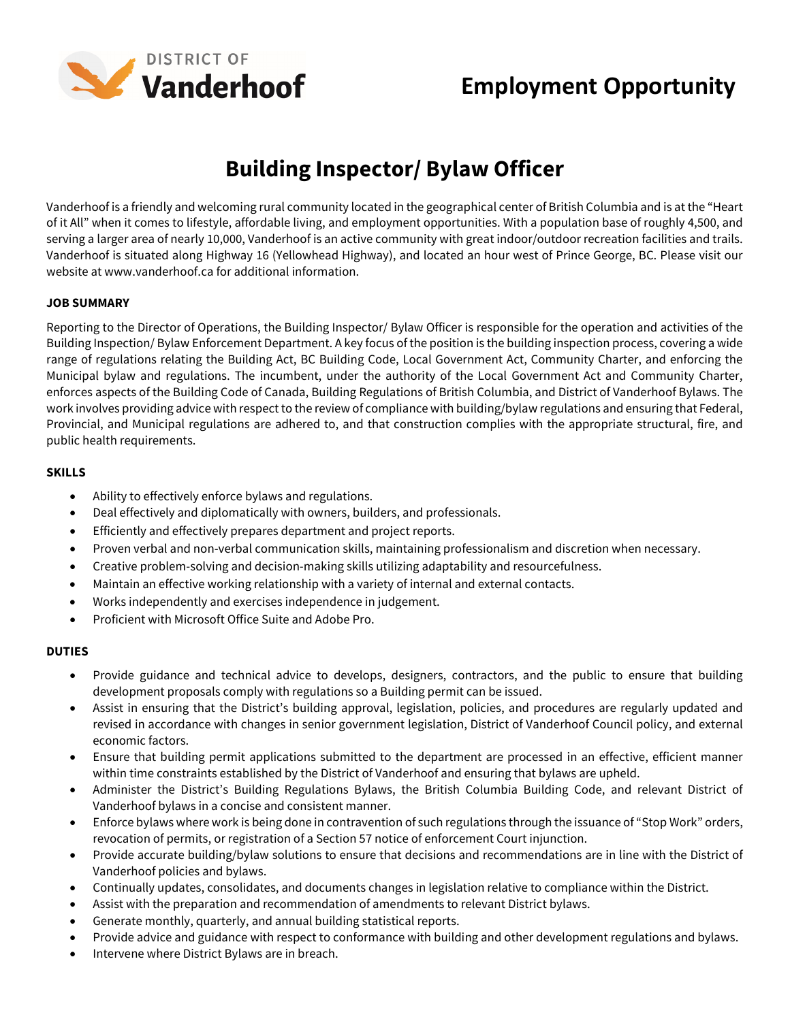

## **Employment Opportunity**

# **Building Inspector/ Bylaw Officer**

Vanderhoof is a friendly and welcoming rural community located in the geographical center of British Columbia and is at the "Heart of it All" when it comes to lifestyle, affordable living, and employment opportunities. With a population base of roughly 4,500, and serving a larger area of nearly 10,000, Vanderhoof is an active community with great indoor/outdoor recreation facilities and trails. Vanderhoof is situated along Highway 16 (Yellowhead Highway), and located an hour west of Prince George, BC. Please visit our website at www.vanderhoof.ca for additional information.

#### **JOB SUMMARY**

Reporting to the Director of Operations, the Building Inspector/ Bylaw Officer is responsible for the operation and activities of the Building Inspection/ Bylaw Enforcement Department. A key focus of the position is the building inspection process, covering a wide range of regulations relating the Building Act, BC Building Code, Local Government Act, Community Charter, and enforcing the Municipal bylaw and regulations. The incumbent, under the authority of the Local Government Act and Community Charter, enforces aspects of the Building Code of Canada, Building Regulations of British Columbia, and District of Vanderhoof Bylaws. The work involves providing advice with respect to the review of compliance with building/bylaw regulations and ensuring that Federal, Provincial, and Municipal regulations are adhered to, and that construction complies with the appropriate structural, fire, and public health requirements.

#### **SKILLS**

- Ability to effectively enforce bylaws and regulations.
- Deal effectively and diplomatically with owners, builders, and professionals.
- Efficiently and effectively prepares department and project reports.
- Proven verbal and non-verbal communication skills, maintaining professionalism and discretion when necessary.
- Creative problem-solving and decision-making skills utilizing adaptability and resourcefulness.
- Maintain an effective working relationship with a variety of internal and external contacts.
- Works independently and exercises independence in judgement.
- Proficient with Microsoft Office Suite and Adobe Pro.

### **DUTIES**

- Provide guidance and technical advice to develops, designers, contractors, and the public to ensure that building development proposals comply with regulations so a Building permit can be issued.
- Assist in ensuring that the District's building approval, legislation, policies, and procedures are regularly updated and revised in accordance with changes in senior government legislation, District of Vanderhoof Council policy, and external economic factors.
- Ensure that building permit applications submitted to the department are processed in an effective, efficient manner within time constraints established by the District of Vanderhoof and ensuring that bylaws are upheld.
- Administer the District's Building Regulations Bylaws, the British Columbia Building Code, and relevant District of Vanderhoof bylaws in a concise and consistent manner.
- Enforce bylaws where work is being done in contravention of such regulations through the issuance of "Stop Work" orders, revocation of permits, or registration of a Section 57 notice of enforcement Court injunction.
- Provide accurate building/bylaw solutions to ensure that decisions and recommendations are in line with the District of Vanderhoof policies and bylaws.
- Continually updates, consolidates, and documents changes in legislation relative to compliance within the District.
- Assist with the preparation and recommendation of amendments to relevant District bylaws.
- Generate monthly, quarterly, and annual building statistical reports.
- Provide advice and guidance with respect to conformance with building and other development regulations and bylaws.
- Intervene where District Bylaws are in breach.